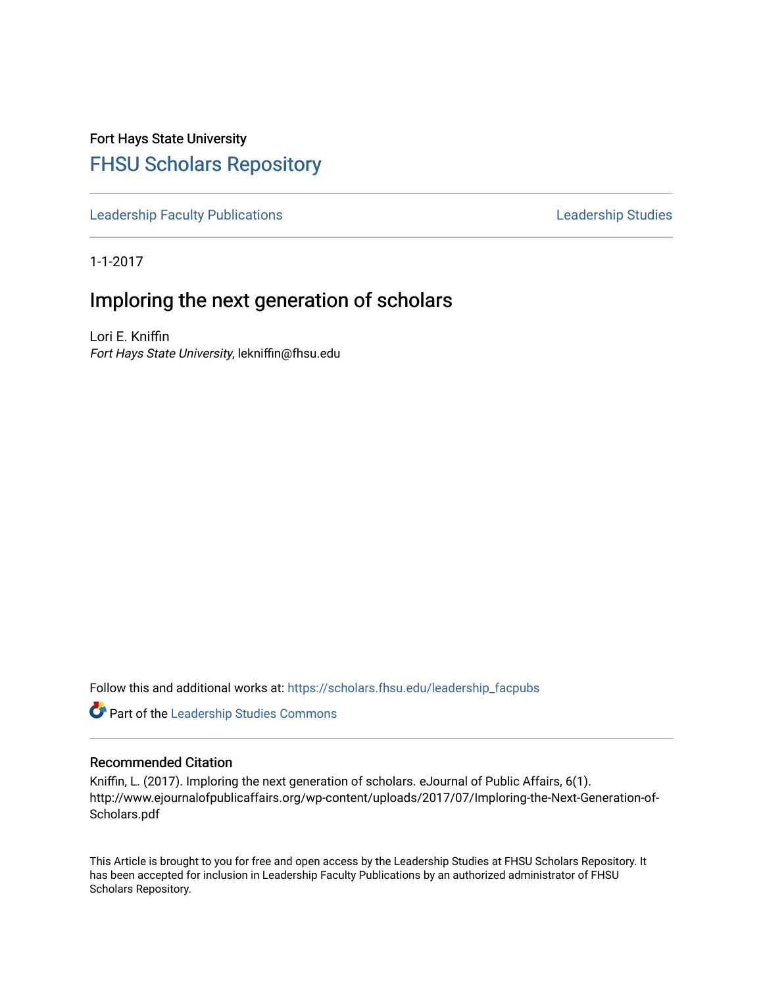Fort Hays State University [FHSU Scholars Repository](https://scholars.fhsu.edu/) 

[Leadership Faculty Publications](https://scholars.fhsu.edu/leadership_facpubs) **Leadership Studies** Leadership Studies

1-1-2017

# Imploring the next generation of scholars

Lori E. Kniffin Fort Hays State University, lekniffin@fhsu.edu

Follow this and additional works at: [https://scholars.fhsu.edu/leadership\\_facpubs](https://scholars.fhsu.edu/leadership_facpubs?utm_source=scholars.fhsu.edu%2Fleadership_facpubs%2F4&utm_medium=PDF&utm_campaign=PDFCoverPages)

**Part of the Leadership Studies Commons** 

#### Recommended Citation

Kniffin, L. (2017). Imploring the next generation of scholars. eJournal of Public Affairs, 6(1). http://www.ejournalofpublicaffairs.org/wp-content/uploads/2017/07/Imploring-the-Next-Generation-of-Scholars.pdf

This Article is brought to you for free and open access by the Leadership Studies at FHSU Scholars Repository. It has been accepted for inclusion in Leadership Faculty Publications by an authorized administrator of FHSU Scholars Repository.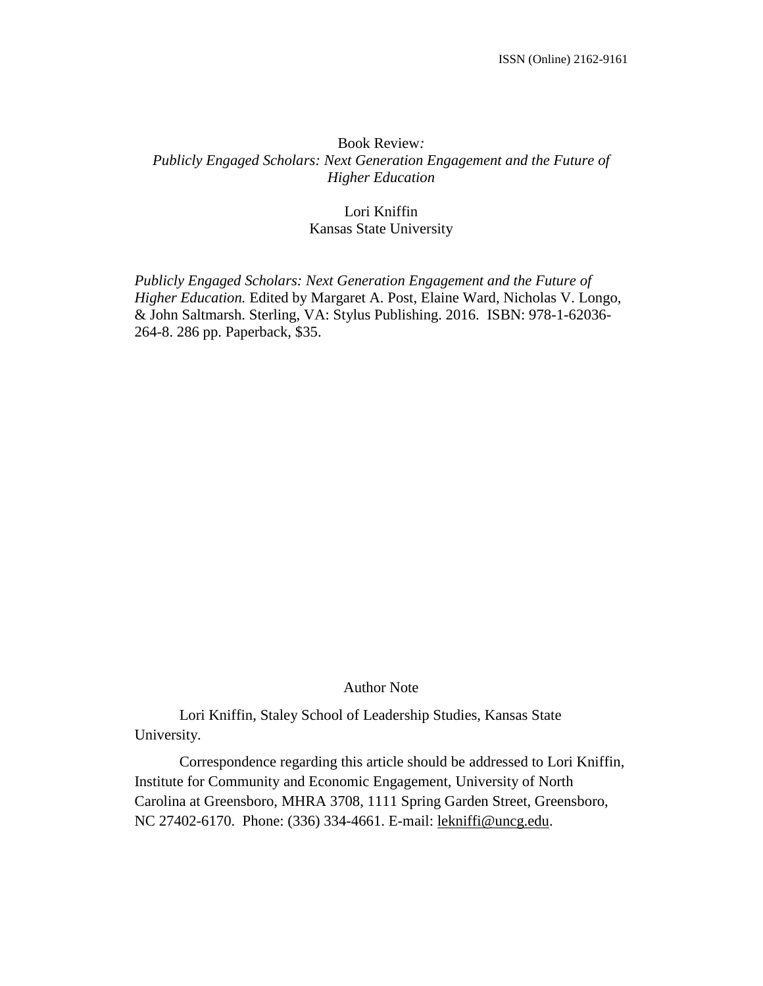### Book Review*: Publicly Engaged Scholars: Next Generation Engagement and the Future of Higher Education*

#### Lori Kniffin Kansas State University

*Publicly Engaged Scholars: Next Generation Engagement and the Future of Higher Education.* Edited by Margaret A. Post, Elaine Ward, Nicholas V. Longo, & John Saltmarsh. Sterling, VA: Stylus Publishing. 2016. ISBN: 978-1-62036- 264-8. 286 pp. Paperback, \$35.

#### Author Note

Lori Kniffin, Staley School of Leadership Studies, Kansas State University.

Correspondence regarding this article should be addressed to Lori Kniffin, Institute for Community and Economic Engagement, University of North Carolina at Greensboro, MHRA 3708, 1111 Spring Garden Street, Greensboro, NC 27402-6170. Phone: (336) 334-4661. E-mail: [lekniffi@uncg.edu.](mailto:lekniffi@uncg.edu)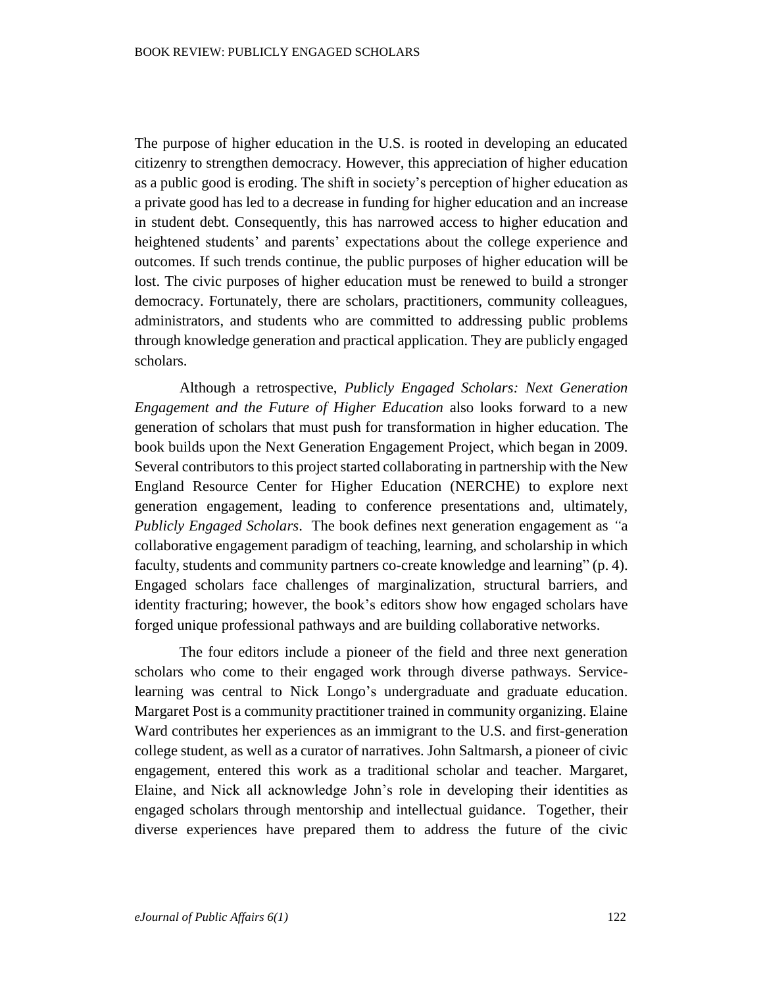The purpose of higher education in the U.S. is rooted in developing an educated citizenry to strengthen democracy. However, this appreciation of higher education as a public good is eroding. The shift in society's perception of higher education as a private good has led to a decrease in funding for higher education and an increase in student debt. Consequently, this has narrowed access to higher education and heightened students' and parents' expectations about the college experience and outcomes. If such trends continue, the public purposes of higher education will be lost. The civic purposes of higher education must be renewed to build a stronger democracy. Fortunately, there are scholars, practitioners, community colleagues, administrators, and students who are committed to addressing public problems through knowledge generation and practical application. They are publicly engaged scholars.

Although a retrospective, *Publicly Engaged Scholars: Next Generation Engagement and the Future of Higher Education* also looks forward to a new generation of scholars that must push for transformation in higher education. The book builds upon the Next Generation Engagement Project, which began in 2009. Several contributors to this project started collaborating in partnership with the New England Resource Center for Higher Education (NERCHE) to explore next generation engagement, leading to conference presentations and, ultimately, *Publicly Engaged Scholars*. The book defines next generation engagement as *"*a collaborative engagement paradigm of teaching, learning, and scholarship in which faculty, students and community partners co-create knowledge and learning" (p. 4). Engaged scholars face challenges of marginalization, structural barriers, and identity fracturing; however, the book's editors show how engaged scholars have forged unique professional pathways and are building collaborative networks.

The four editors include a pioneer of the field and three next generation scholars who come to their engaged work through diverse pathways. Servicelearning was central to Nick Longo's undergraduate and graduate education. Margaret Post is a community practitioner trained in community organizing. Elaine Ward contributes her experiences as an immigrant to the U.S. and first-generation college student, as well as a curator of narratives. John Saltmarsh, a pioneer of civic engagement, entered this work as a traditional scholar and teacher. Margaret, Elaine, and Nick all acknowledge John's role in developing their identities as engaged scholars through mentorship and intellectual guidance. Together, their diverse experiences have prepared them to address the future of the civic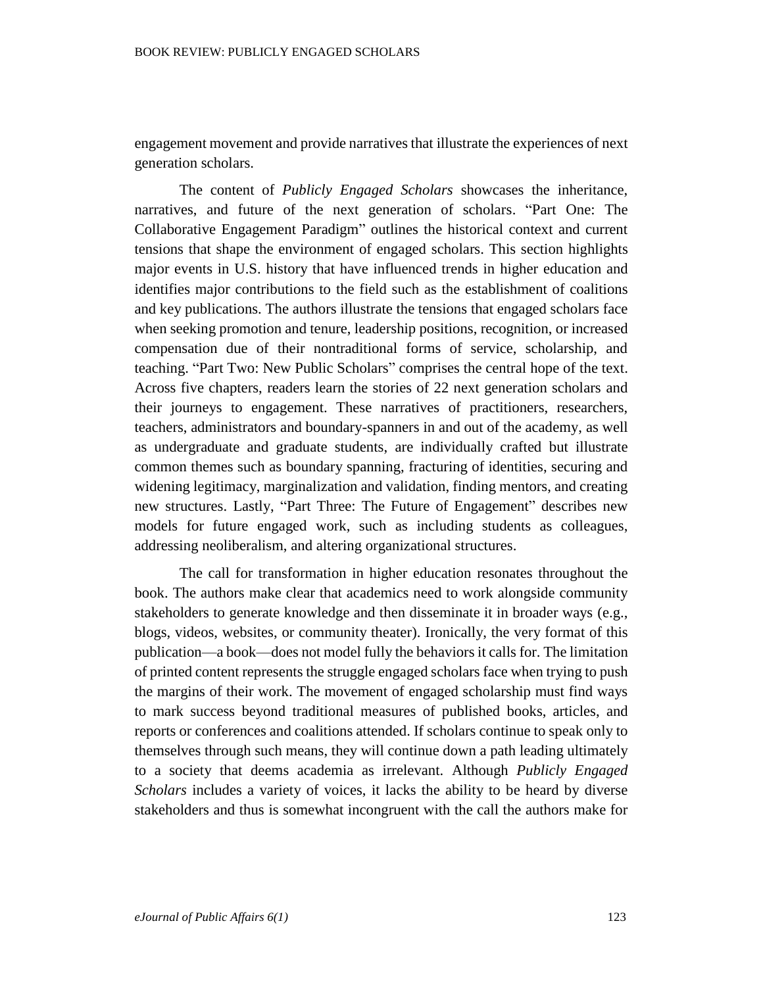engagement movement and provide narratives that illustrate the experiences of next generation scholars.

The content of *Publicly Engaged Scholars* showcases the inheritance, narratives, and future of the next generation of scholars. "Part One: The Collaborative Engagement Paradigm" outlines the historical context and current tensions that shape the environment of engaged scholars. This section highlights major events in U.S. history that have influenced trends in higher education and identifies major contributions to the field such as the establishment of coalitions and key publications. The authors illustrate the tensions that engaged scholars face when seeking promotion and tenure, leadership positions, recognition, or increased compensation due of their nontraditional forms of service, scholarship, and teaching. "Part Two: New Public Scholars" comprises the central hope of the text. Across five chapters, readers learn the stories of 22 next generation scholars and their journeys to engagement. These narratives of practitioners, researchers, teachers, administrators and boundary-spanners in and out of the academy, as well as undergraduate and graduate students, are individually crafted but illustrate common themes such as boundary spanning, fracturing of identities, securing and widening legitimacy, marginalization and validation, finding mentors, and creating new structures. Lastly, "Part Three: The Future of Engagement" describes new models for future engaged work, such as including students as colleagues, addressing neoliberalism, and altering organizational structures.

The call for transformation in higher education resonates throughout the book. The authors make clear that academics need to work alongside community stakeholders to generate knowledge and then disseminate it in broader ways (e.g., blogs, videos, websites, or community theater). Ironically, the very format of this publication—a book—does not model fully the behaviors it calls for. The limitation of printed content represents the struggle engaged scholars face when trying to push the margins of their work. The movement of engaged scholarship must find ways to mark success beyond traditional measures of published books, articles, and reports or conferences and coalitions attended. If scholars continue to speak only to themselves through such means, they will continue down a path leading ultimately to a society that deems academia as irrelevant. Although *Publicly Engaged Scholars* includes a variety of voices, it lacks the ability to be heard by diverse stakeholders and thus is somewhat incongruent with the call the authors make for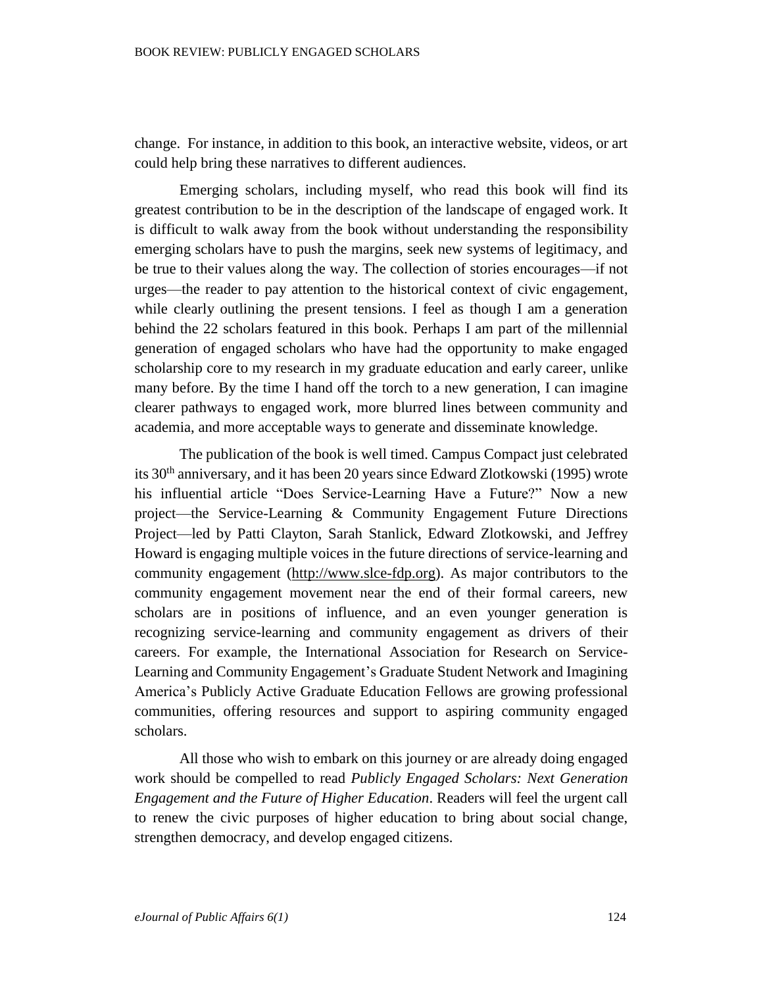change. For instance, in addition to this book, an interactive website, videos, or art could help bring these narratives to different audiences.

Emerging scholars, including myself, who read this book will find its greatest contribution to be in the description of the landscape of engaged work. It is difficult to walk away from the book without understanding the responsibility emerging scholars have to push the margins, seek new systems of legitimacy, and be true to their values along the way. The collection of stories encourages—if not urges—the reader to pay attention to the historical context of civic engagement, while clearly outlining the present tensions. I feel as though I am a generation behind the 22 scholars featured in this book. Perhaps I am part of the millennial generation of engaged scholars who have had the opportunity to make engaged scholarship core to my research in my graduate education and early career, unlike many before. By the time I hand off the torch to a new generation, I can imagine clearer pathways to engaged work, more blurred lines between community and academia, and more acceptable ways to generate and disseminate knowledge.

The publication of the book is well timed. Campus Compact just celebrated its 30th anniversary, and it has been 20 years since Edward Zlotkowski (1995) wrote his influential article "Does Service-Learning Have a Future?" Now a new project—the Service-Learning & Community Engagement Future Directions Project—led by Patti Clayton, Sarah Stanlick, Edward Zlotkowski, and Jeffrey Howard is engaging multiple voices in the future directions of service-learning and community engagement [\(http://www.slce-fdp.org\)](http://www.slce-fdp.org/). As major contributors to the community engagement movement near the end of their formal careers, new scholars are in positions of influence, and an even younger generation is recognizing service-learning and community engagement as drivers of their careers. For example, the International Association for Research on Service-Learning and Community Engagement's Graduate Student Network and Imagining America's Publicly Active Graduate Education Fellows are growing professional communities, offering resources and support to aspiring community engaged scholars.

All those who wish to embark on this journey or are already doing engaged work should be compelled to read *Publicly Engaged Scholars: Next Generation Engagement and the Future of Higher Education*. Readers will feel the urgent call to renew the civic purposes of higher education to bring about social change, strengthen democracy, and develop engaged citizens.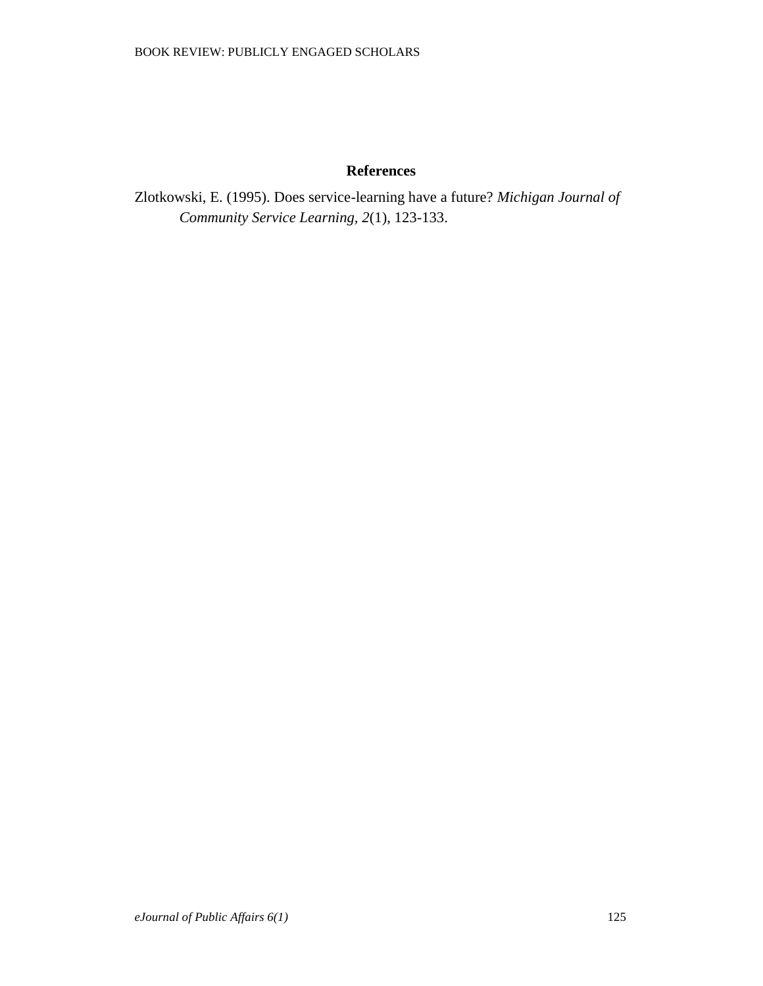## **References**

Zlotkowski, E. (1995). Does service-learning have a future? *Michigan Journal of Community Service Learning, 2*(1), 123-133.